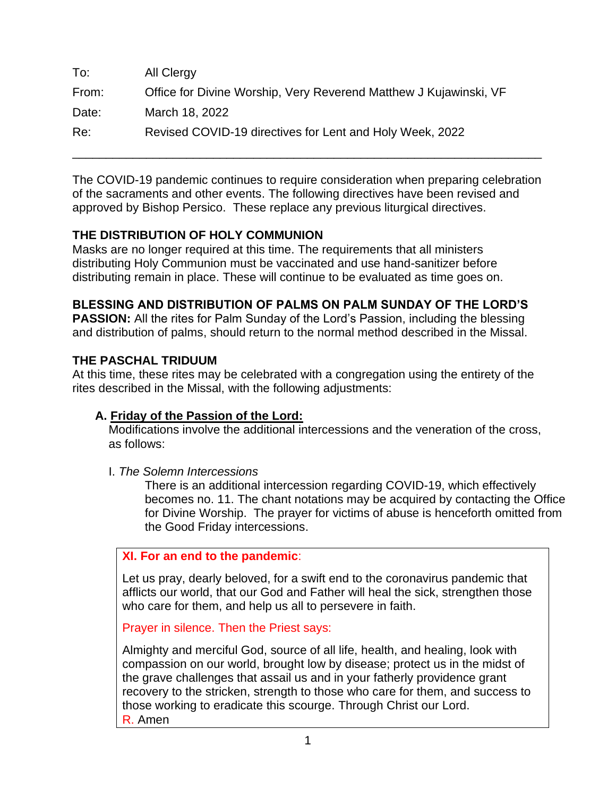| To:   | All Clergy                                                        |
|-------|-------------------------------------------------------------------|
| From: | Office for Divine Worship, Very Reverend Matthew J Kujawinski, VF |
| Date: | March 18, 2022                                                    |
| Re:   | Revised COVID-19 directives for Lent and Holy Week, 2022          |

The COVID-19 pandemic continues to require consideration when preparing celebration of the sacraments and other events. The following directives have been revised and approved by Bishop Persico. These replace any previous liturgical directives.

\_\_\_\_\_\_\_\_\_\_\_\_\_\_\_\_\_\_\_\_\_\_\_\_\_\_\_\_\_\_\_\_\_\_\_\_\_\_\_\_\_\_\_\_\_\_\_\_\_\_\_\_\_\_\_\_\_\_\_\_\_\_\_\_\_\_\_\_\_\_

## **THE DISTRIBUTION OF HOLY COMMUNION**

Masks are no longer required at this time. The requirements that all ministers distributing Holy Communion must be vaccinated and use hand-sanitizer before distributing remain in place. These will continue to be evaluated as time goes on.

# **BLESSING AND DISTRIBUTION OF PALMS ON PALM SUNDAY OF THE LORD'S**

**PASSION:** All the rites for Palm Sunday of the Lord's Passion, including the blessing and distribution of palms, should return to the normal method described in the Missal.

## **THE PASCHAL TRIDUUM**

At this time, these rites may be celebrated with a congregation using the entirety of the rites described in the Missal, with the following adjustments:

## **A. Friday of the Passion of the Lord:**

Modifications involve the additional intercessions and the veneration of the cross, as follows:

## I. *The Solemn Intercessions*

There is an additional intercession regarding COVID-19, which effectively becomes no. 11. The chant notations may be acquired by contacting the Office for Divine Worship. The prayer for victims of abuse is henceforth omitted from the Good Friday intercessions.

**XI. For an end to the pandemic**:

Let us pray, dearly beloved, for a swift end to the coronavirus pandemic that afflicts our world, that our God and Father will heal the sick, strengthen those who care for them, and help us all to persevere in faith.

Prayer in silence. Then the Priest says:

Almighty and merciful God, source of all life, health, and healing, look with compassion on our world, brought low by disease; protect us in the midst of the grave challenges that assail us and in your fatherly providence grant recovery to the stricken, strength to those who care for them, and success to those working to eradicate this scourge. Through Christ our Lord. R. Amen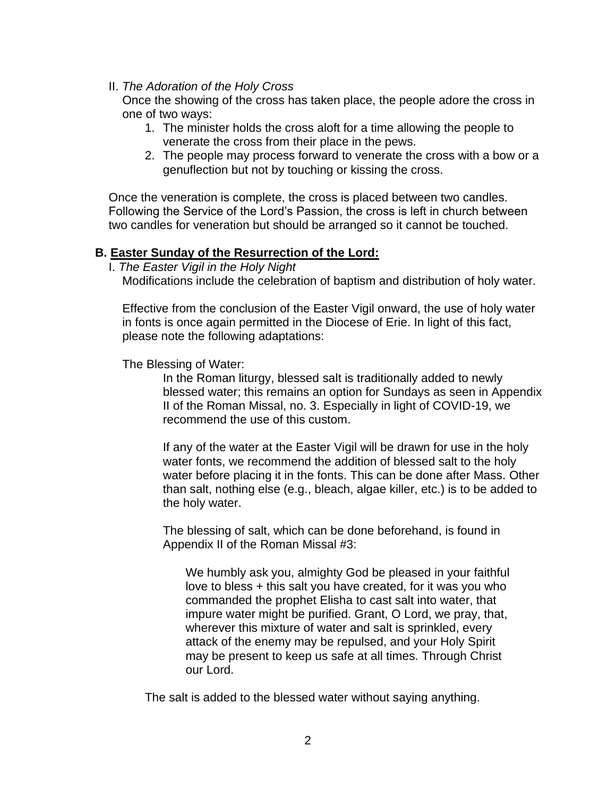#### II. *The Adoration of the Holy Cross*

Once the showing of the cross has taken place, the people adore the cross in one of two ways:

- 1. The minister holds the cross aloft for a time allowing the people to venerate the cross from their place in the pews.
- 2. The people may process forward to venerate the cross with a bow or a genuflection but not by touching or kissing the cross.

Once the veneration is complete, the cross is placed between two candles. Following the Service of the Lord's Passion, the cross is left in church between two candles for veneration but should be arranged so it cannot be touched.

#### **B. Easter Sunday of the Resurrection of the Lord:**

I. *The Easter Vigil in the Holy Night*

Modifications include the celebration of baptism and distribution of holy water.

Effective from the conclusion of the Easter Vigil onward, the use of holy water in fonts is once again permitted in the Diocese of Erie. In light of this fact, please note the following adaptations:

The Blessing of Water:

In the Roman liturgy, blessed salt is traditionally added to newly blessed water; this remains an option for Sundays as seen in Appendix II of the Roman Missal, no. 3. Especially in light of COVID-19, we recommend the use of this custom.

If any of the water at the Easter Vigil will be drawn for use in the holy water fonts, we recommend the addition of blessed salt to the holy water before placing it in the fonts. This can be done after Mass. Other than salt, nothing else (e.g., bleach, algae killer, etc.) is to be added to the holy water.

The blessing of salt, which can be done beforehand, is found in Appendix II of the Roman Missal #3:

We humbly ask you, almighty God be pleased in your faithful love to bless + this salt you have created, for it was you who commanded the prophet Elisha to cast salt into water, that impure water might be purified. Grant, O Lord, we pray, that, wherever this mixture of water and salt is sprinkled, every attack of the enemy may be repulsed, and your Holy Spirit may be present to keep us safe at all times. Through Christ our Lord.

The salt is added to the blessed water without saying anything.